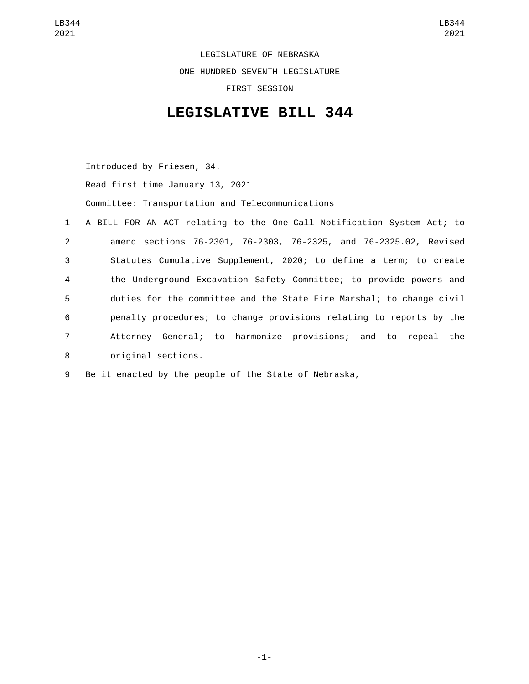LEGISLATURE OF NEBRASKA ONE HUNDRED SEVENTH LEGISLATURE FIRST SESSION

## **LEGISLATIVE BILL 344**

Introduced by Friesen, 34.

Read first time January 13, 2021

Committee: Transportation and Telecommunications

|                | 1 A BILL FOR AN ACT relating to the One-Call Notification System Act; to |
|----------------|--------------------------------------------------------------------------|
| $2^{\circ}$    | amend sections 76-2301, 76-2303, 76-2325, and 76-2325.02, Revised        |
| 3 <sup>1</sup> | Statutes Cumulative Supplement, 2020; to define a term; to create        |
| 4              | the Underground Excavation Safety Committee; to provide powers and       |
| 5              | duties for the committee and the State Fire Marshal; to change civil     |
| 6              | penalty procedures; to change provisions relating to reports by the      |
| $7^{\circ}$    | Attorney General; to harmonize provisions; and to repeal the             |
| 8              | original sections.                                                       |

9 Be it enacted by the people of the State of Nebraska,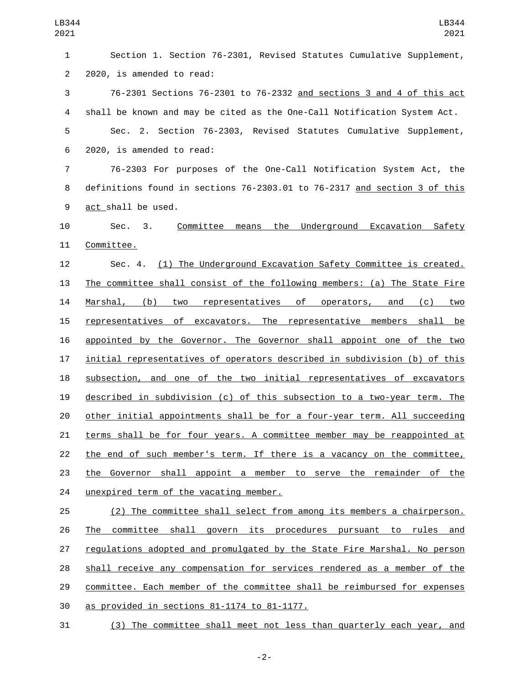| LB344<br>2021    | LB344<br>2021                                                             |
|------------------|---------------------------------------------------------------------------|
| 1                | Section 1. Section 76-2301, Revised Statutes Cumulative Supplement,       |
| $\boldsymbol{2}$ | 2020, is amended to read:                                                 |
| 3                | 76-2301 Sections 76-2301 to 76-2332 and sections 3 and 4 of this act      |
| 4                | shall be known and may be cited as the One-Call Notification System Act.  |
| 5                | Sec. 2. Section 76-2303, Revised Statutes Cumulative Supplement,          |
| 6                | 2020, is amended to read:                                                 |
| $\overline{7}$   | 76-2303 For purposes of the One-Call Notification System Act, the         |
| 8                | definitions found in sections 76-2303.01 to 76-2317 and section 3 of this |
| 9                | act shall be used.                                                        |
| 10               | Sec. 3.<br>Committee means<br>the<br>Underground Excavation Safety        |
| 11               | Committee.                                                                |
| 12               | Sec. 4. (1) The Underground Excavation Safety Committee is created.       |
| 13               | The committee shall consist of the following members: (a) The State Fire  |
| 14               | <u>Marshal, (b) two representatives of operators, and (c) two</u>         |
| 15               | representatives of excavators. The representative members shall be        |
| 16               | appointed by the Governor. The Governor shall appoint one of the two      |
| 17               | initial representatives of operators described in subdivision (b) of this |
| 18               | subsection, and one of the two initial representatives of excavators      |
| 19               | described in subdivision (c) of this subsection to a two-year term. The   |
| 20               | other initial appointments shall be for a four-year term. All succeeding  |
| 21               | terms shall be for four years. A committee member may be reappointed at   |
| 22               | the end of such member's term. If there is a vacancy on the committee,    |
| 23               | the Governor shall appoint a member to serve the remainder of the         |
| 24               | unexpired term of the vacating member.                                    |
| 25               | (2) The committee shall select from among its members a chairperson.      |
| 26               | The committee shall govern its procedures pursuant to rules and           |
| 27               | regulations adopted and promulgated by the State Fire Marshal. No person  |
| 28               | shall receive any compensation for services rendered as a member of the   |
| 29               | committee. Each member of the committee shall be reimbursed for expenses  |
| 30               | as provided in sections 81-1174 to 81-1177.                               |

(3) The committee shall meet not less than quarterly each year, and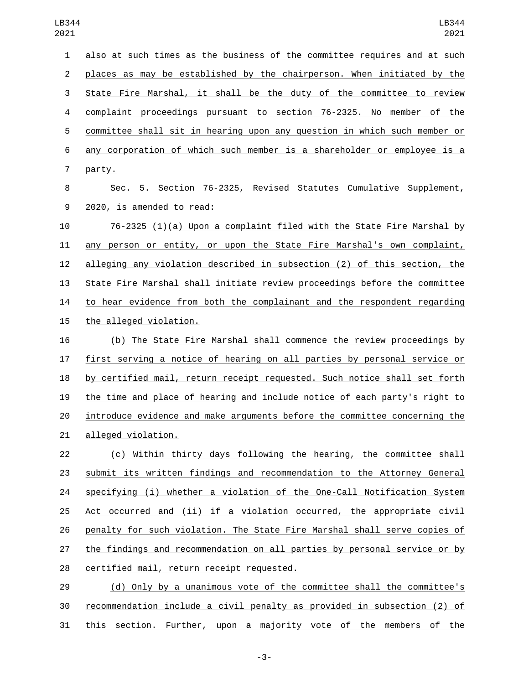| 2021           | 2021                                                                      |
|----------------|---------------------------------------------------------------------------|
| $\mathbf{1}$   | also at such times as the business of the committee requires and at such  |
| $\overline{2}$ | places as may be established by the chairperson. When initiated by the    |
| 3              | State Fire Marshal, it shall be the duty of the committee to review       |
| 4              | complaint proceedings pursuant to section 76-2325. No member of the       |
| 5              | committee shall sit in hearing upon any question in which such member or  |
| 6              | any corporation of which such member is a shareholder or employee is a    |
| 7              | <u>party.</u>                                                             |
| 8              | Sec. 5. Section 76-2325, Revised Statutes Cumulative Supplement,          |
| 9              | 2020, is amended to read:                                                 |
| 10             | 76-2325 (1)(a) Upon a complaint filed with the State Fire Marshal by      |
| 11             | any person or entity, or upon the State Fire Marshal's own complaint,     |
| 12             | alleging any violation described in subsection (2) of this section, the   |
| 13             | State Fire Marshal shall initiate review proceedings before the committee |
| 14             | to hear evidence from both the complainant and the respondent regarding   |
| 15             | the alleged violation.                                                    |
| 16             | (b) The State Fire Marshal shall commence the review proceedings by       |
| 17             | first serving a notice of hearing on all parties by personal service or   |
| 18             | by certified mail, return receipt requested. Such notice shall set forth  |
| 19             | the time and place of hearing and include notice of each party's right to |
| 20             | introduce evidence and make arguments before the committee concerning the |
| 21             | alleged violation.                                                        |
| 22             | (c) Within thirty days following the hearing, the committee shall         |
| 23             | submit its written findings and recommendation to the Attorney General    |
| 24             | specifying (i) whether a violation of the One-Call Notification System    |
| 25             | Act occurred and (ii) if a violation occurred, the appropriate civil      |
| 26             | penalty for such violation. The State Fire Marshal shall serve copies of  |
| 27             | the findings and recommendation on all parties by personal service or by  |
| 28             | certified mail, return receipt requested.                                 |
| 29             | (d) Only by a unanimous vote of the committee shall the committee's       |
| 30             | recommendation include a civil penalty as provided in subsection (2) of   |

this section. Further, upon a majority vote of the members of the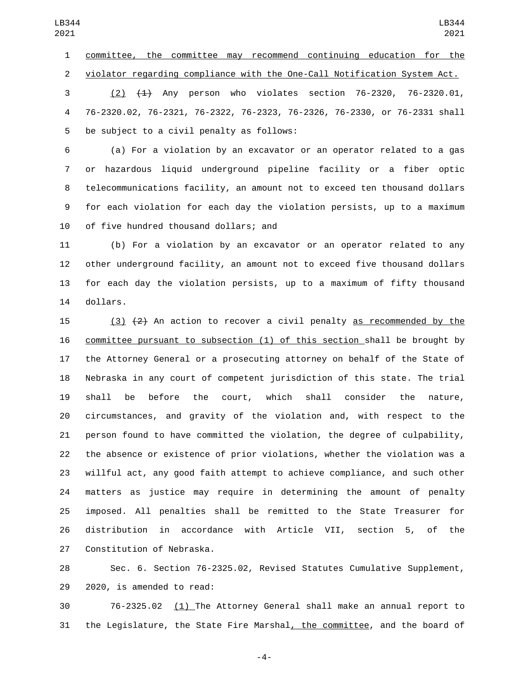committee, the committee may recommend continuing education for the violator regarding compliance with the One-Call Notification System Act. (2) (1) Any person who violates section 76-2320, 76-2320.01,

 76-2320.02, 76-2321, 76-2322, 76-2323, 76-2326, 76-2330, or 76-2331 shall 5 be subject to a civil penalty as follows:

 (a) For a violation by an excavator or an operator related to a gas or hazardous liquid underground pipeline facility or a fiber optic telecommunications facility, an amount not to exceed ten thousand dollars for each violation for each day the violation persists, up to a maximum 10 of five hundred thousand dollars; and

 (b) For a violation by an excavator or an operator related to any other underground facility, an amount not to exceed five thousand dollars for each day the violation persists, up to a maximum of fifty thousand 14 dollars.

 $(3)$   $(2)$  An action to recover a civil penalty <u>as recommended by the</u> committee pursuant to subsection (1) of this section shall be brought by the Attorney General or a prosecuting attorney on behalf of the State of Nebraska in any court of competent jurisdiction of this state. The trial shall be before the court, which shall consider the nature, circumstances, and gravity of the violation and, with respect to the person found to have committed the violation, the degree of culpability, the absence or existence of prior violations, whether the violation was a willful act, any good faith attempt to achieve compliance, and such other matters as justice may require in determining the amount of penalty imposed. All penalties shall be remitted to the State Treasurer for distribution in accordance with Article VII, section 5, of the 27 Constitution of Nebraska.

 Sec. 6. Section 76-2325.02, Revised Statutes Cumulative Supplement, 29 2020, is amended to read:

 76-2325.02 (1) The Attorney General shall make an annual report to the Legislature, the State Fire Marshal, the committee, and the board of

-4-